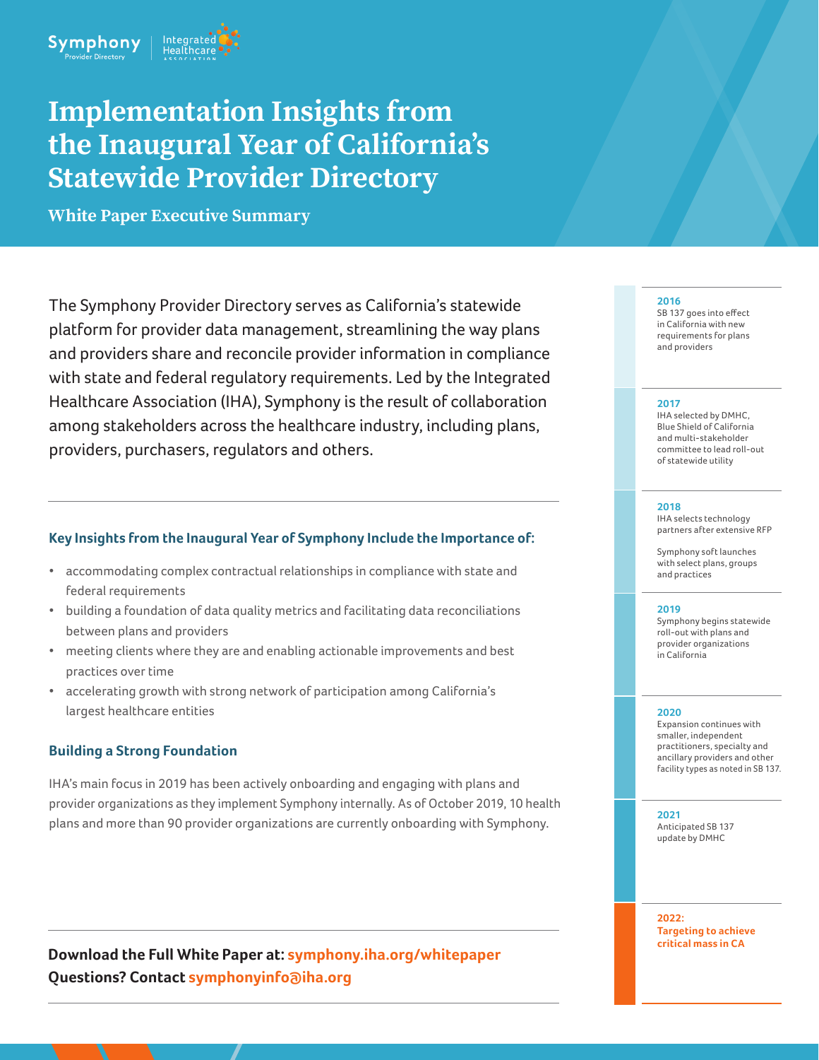

# **Implementation Insights from the Inaugural Year of California's Statewide Provider Directory**

**White Paper Executive Summary**

The Symphony Provider Directory serves as California's statewide platform for provider data management, streamlining the way plans and providers share and reconcile provider information in compliance with state and federal regulatory requirements. Led by the Integrated Healthcare Association (IHA), Symphony is the result of collaboration among stakeholders across the healthcare industry, including plans, providers, purchasers, regulators and others.

## **Key Insights from the Inaugural Year of Symphony Include the Importance of:**

- accommodating complex contractual relationships in compliance with state and federal requirements
- building a foundation of data quality metrics and facilitating data reconciliations between plans and providers
- meeting clients where they are and enabling actionable improvements and best practices over time
- accelerating growth with strong network of participation among California's largest healthcare entities

## **Building a Strong Foundation**

IHA's main focus in 2019 has been actively onboarding and engaging with plans and provider organizations as they implement Symphony internally. As of October 2019, 10 health plans and more than 90 provider organizations are currently onboarding with Symphony.

**Download the Full White Paper at: symphony.iha.org/whitepaper Questions? Contact symphonyinfo@iha.org**

#### **2016**

SB 137 goes into effect in California with new requirements for plans and providers

#### **2017**

IHA selected by DMHC, Blue Shield of California and multi-stakeholder committee to lead roll-out of statewide utility

#### **2018**

IHA selects technology partners after extensive RFP

Symphony soft launches with select plans, groups and practices

#### **2019**

Symphony begins statewide roll-out with plans and provider organizations in California

#### **2020**

Expansion continues with smaller, independent practitioners, specialty and ancillary providers and other facility types as noted in SB 137.

#### **2021**

Anticipated SB 137 update by DMHC

**2022: Targeting to achieve critical mass in CA**